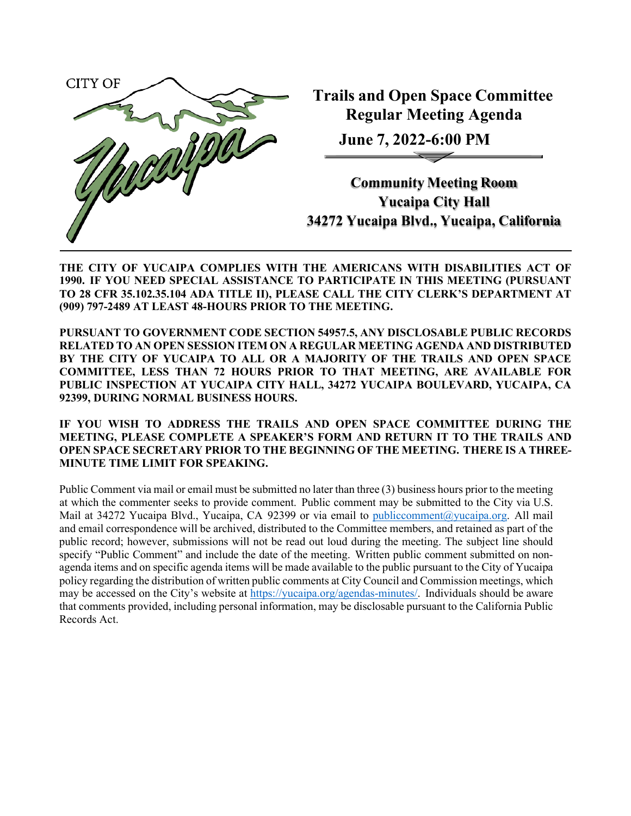

**Trails and Open Space Committee Regular Meeting Agenda**

**June 7, 2022-6:00 PM**

**Community Meeting Room Yucaipa City Hall 34272 Yucaipa Blvd., Yucaipa, California**

**THE CITY OF YUCAIPA COMPLIES WITH THE AMERICANS WITH DISABILITIES ACT OF 1990. IF YOU NEED SPECIAL ASSISTANCE TO PARTICIPATE IN THIS MEETING (PURSUANT TO 28 CFR 35.102.35.104 ADA TITLE II), PLEASE CALL THE CITY CLERK'S DEPARTMENT AT (909) 797-2489 AT LEAST 48-HOURS PRIOR TO THE MEETING.**

**PURSUANT TO GOVERNMENT CODE SECTION 54957.5, ANY DISCLOSABLE PUBLIC RECORDS RELATED TO AN OPEN SESSION ITEM ON A REGULAR MEETING AGENDA AND DISTRIBUTED BY THE CITY OF YUCAIPA TO ALL OR A MAJORITY OF THE TRAILS AND OPEN SPACE COMMITTEE, LESS THAN 72 HOURS PRIOR TO THAT MEETING, ARE AVAILABLE FOR PUBLIC INSPECTION AT YUCAIPA CITY HALL, 34272 YUCAIPA BOULEVARD, YUCAIPA, CA 92399, DURING NORMAL BUSINESS HOURS.**

**IF YOU WISH TO ADDRESS THE TRAILS AND OPEN SPACE COMMITTEE DURING THE MEETING, PLEASE COMPLETE A SPEAKER'S FORM AND RETURN IT TO THE TRAILS AND OPEN SPACE SECRETARY PRIOR TO THE BEGINNING OF THE MEETING. THERE IS A THREE-MINUTE TIME LIMIT FOR SPEAKING.**

Public Comment via mail or email must be submitted no later than three (3) business hours prior to the meeting at which the commenter seeks to provide comment. Public comment may be submitted to the City via U.S. Mail at 34272 Yucaipa Blvd., Yucaipa, CA 92399 or via email to [publiccomment@yucaipa.org.](mailto:publiccomment@yucaipa.org) All mail and email correspondence will be archived, distributed to the Committee members, and retained as part of the public record; however, submissions will not be read out loud during the meeting. The subject line should specify "Public Comment" and include the date of the meeting. Written public comment submitted on nonagenda items and on specific agenda items will be made available to the public pursuant to the City of Yucaipa policy regarding the distribution of written public comments at City Council and Commission meetings, which may be accessed on the City's website a[t https://yucaipa.org/agendas-minutes/.](https://linkprotect.cudasvc.com/url?a=https%3a%2f%2fyucaipa.org%2fagendas-minutes%2f&c=E%2C1%2C8iu_aLaCQsOmYjnWdhNeQgU9-XVoB5a0CzOs_nrmw5nAY-k_y7XZa3JAnXx2dduIQhERc5pzGH0uA9TG0OvmT6S6_YXFTmLh8Gy4-DGG9zUALHtuXEtWj2x5&typo=1) Individuals should be aware that comments provided, including personal information, may be disclosable pursuant to the California Public Records Act.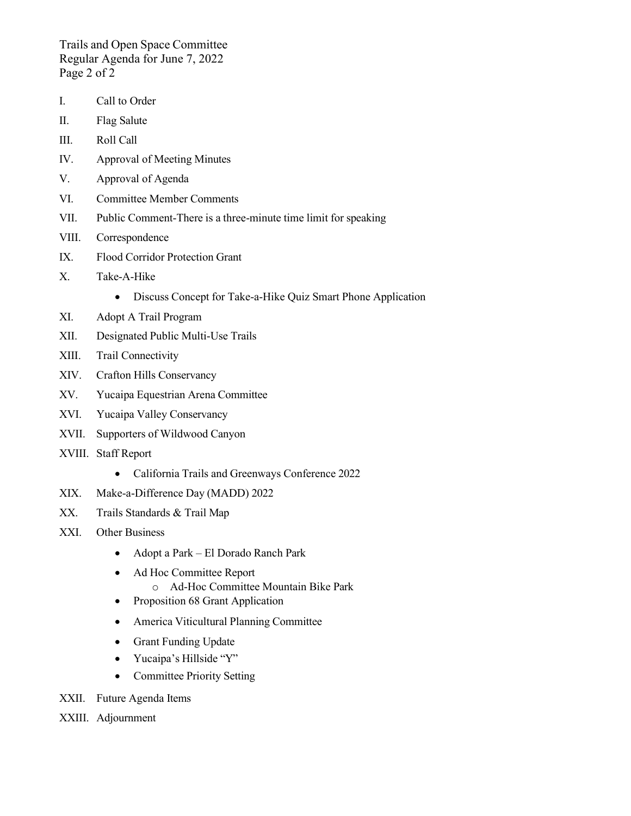Trails and Open Space Committee Regular Agenda for June 7, 2022 Page 2 of 2

- I. Call to Order
- II. Flag Salute
- III. Roll Call
- IV. Approval of Meeting Minutes
- V. Approval of Agenda
- VI. Committee Member Comments
- VII. Public Comment-There is a three-minute time limit for speaking
- VIII. Correspondence
- IX. Flood Corridor Protection Grant
- X. Take-A-Hike
	- Discuss Concept for Take-a-Hike Quiz Smart Phone Application
- XI. Adopt A Trail Program
- XII. Designated Public Multi-Use Trails
- XIII. Trail Connectivity
- XIV. Crafton Hills Conservancy
- XV. Yucaipa Equestrian Arena Committee
- XVI. Yucaipa Valley Conservancy
- XVII. Supporters of Wildwood Canyon
- XVIII. Staff Report
	- California Trails and Greenways Conference 2022
- XIX. Make-a-Difference Day (MADD) 2022
- XX. Trails Standards & Trail Map
- XXI. Other Business
	- Adopt a Park El Dorado Ranch Park
	- Ad Hoc Committee Report
		- o Ad-Hoc Committee Mountain Bike Park
	- Proposition 68 Grant Application
	- America Viticultural Planning Committee
	- Grant Funding Update
	- Yucaipa's Hillside "Y"
	- Committee Priority Setting
- XXII. Future Agenda Items
- XXIII. Adjournment